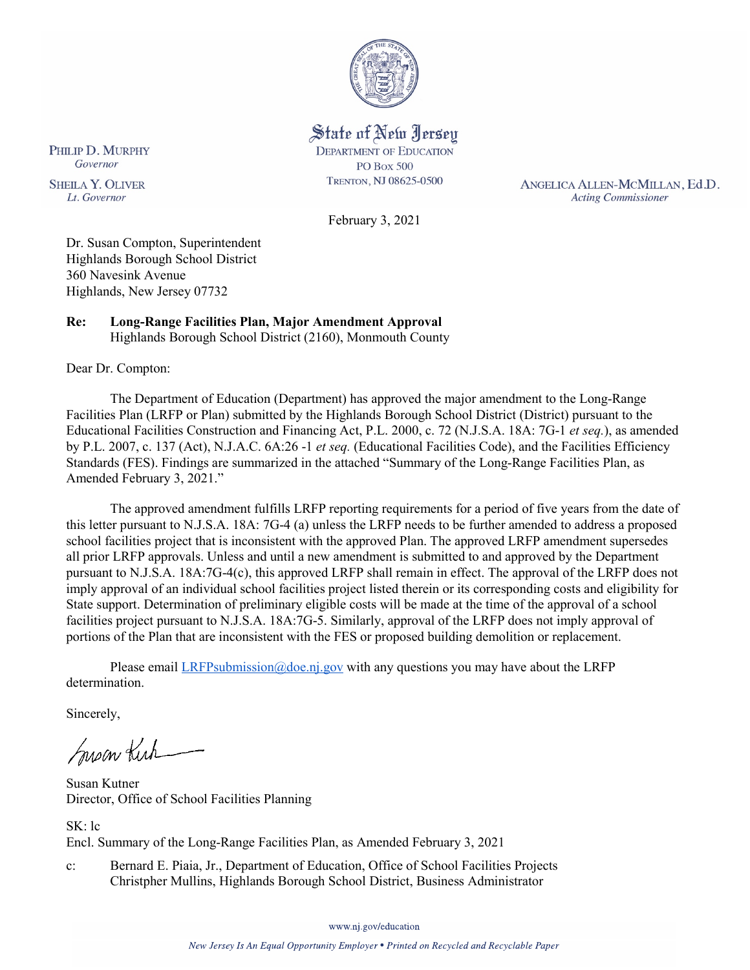

### State of New Jersey **DEPARTMENT OF EDUCATION PO Box 500** TRENTON, NJ 08625-0500

February 3, 2021

ANGELICA ALLEN-MCMILLAN, Ed.D. **Acting Commissioner** 

Dr. Susan Compton, Superintendent Highlands Borough School District 360 Navesink Avenue

Highlands, New Jersey 07732

#### **Re: Long-Range Facilities Plan, Major Amendment Approval**  Highlands Borough School District (2160), Monmouth County

Dear Dr. Compton:

The Department of Education (Department) has approved the major amendment to the Long-Range Facilities Plan (LRFP or Plan) submitted by the Highlands Borough School District (District) pursuant to the Educational Facilities Construction and Financing Act, P.L. 2000, c. 72 (N.J.S.A. 18A: 7G-1 *et seq.*), as amended by P.L. 2007, c. 137 (Act), N.J.A.C. 6A:26 -1 *et seq.* (Educational Facilities Code), and the Facilities Efficiency Standards (FES). Findings are summarized in the attached "Summary of the Long-Range Facilities Plan, as Amended February 3, 2021."

The approved amendment fulfills LRFP reporting requirements for a period of five years from the date of this letter pursuant to N.J.S.A. 18A: 7G-4 (a) unless the LRFP needs to be further amended to address a proposed school facilities project that is inconsistent with the approved Plan. The approved LRFP amendment supersedes all prior LRFP approvals. Unless and until a new amendment is submitted to and approved by the Department pursuant to N.J.S.A. 18A:7G-4(c), this approved LRFP shall remain in effect. The approval of the LRFP does not imply approval of an individual school facilities project listed therein or its corresponding costs and eligibility for State support. Determination of preliminary eligible costs will be made at the time of the approval of a school facilities project pursuant to N.J.S.A. 18A:7G-5. Similarly, approval of the LRFP does not imply approval of portions of the Plan that are inconsistent with the FES or proposed building demolition or replacement.

Please email  $LRFP submission@doe.nj.gov$  with any questions you may have about the LRFP determination.

Sincerely,

Susan Kick

Susan Kutner Director, Office of School Facilities Planning

SK: lc Encl. Summary of the Long-Range Facilities Plan, as Amended February 3, 2021

c: Bernard E. Piaia, Jr., Department of Education, Office of School Facilities Projects Christpher Mullins, Highlands Borough School District, Business Administrator

www.nj.gov/education

PHILIP D. MURPHY Governor

**SHEILA Y. OLIVER** Lt. Governor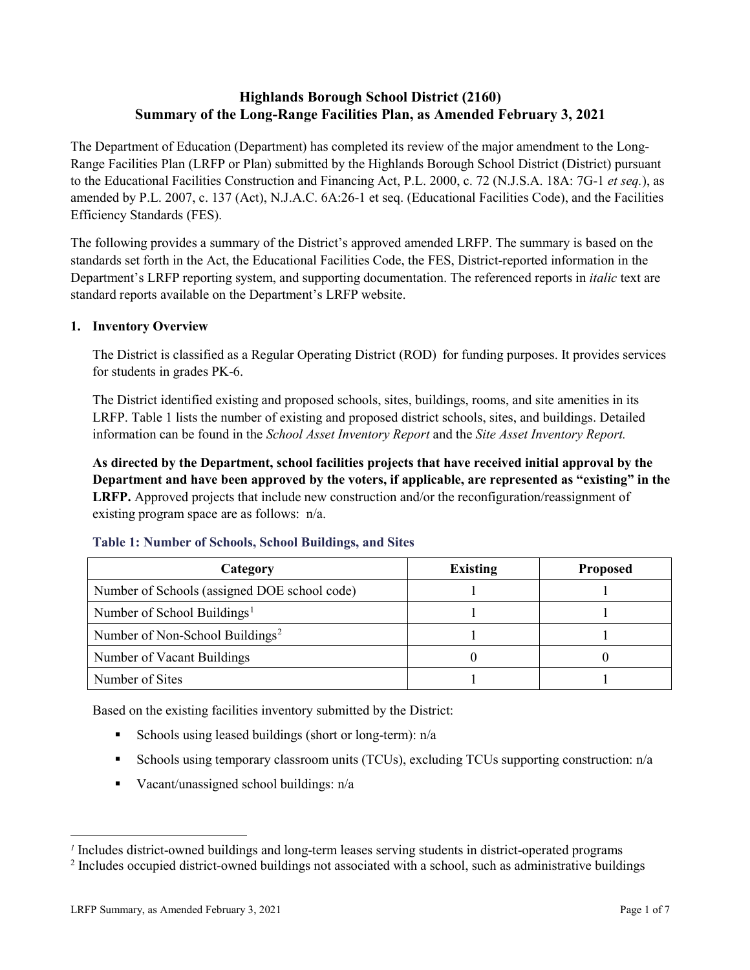# **Highlands Borough School District (2160) Summary of the Long-Range Facilities Plan, as Amended February 3, 2021**

The Department of Education (Department) has completed its review of the major amendment to the Long-Range Facilities Plan (LRFP or Plan) submitted by the Highlands Borough School District (District) pursuant to the Educational Facilities Construction and Financing Act, P.L. 2000, c. 72 (N.J.S.A. 18A: 7G-1 *et seq.*), as amended by P.L. 2007, c. 137 (Act), N.J.A.C. 6A:26-1 et seq. (Educational Facilities Code), and the Facilities Efficiency Standards (FES).

The following provides a summary of the District's approved amended LRFP. The summary is based on the standards set forth in the Act, the Educational Facilities Code, the FES, District-reported information in the Department's LRFP reporting system, and supporting documentation. The referenced reports in *italic* text are standard reports available on the Department's LRFP website.

### **1. Inventory Overview**

The District is classified as a Regular Operating District (ROD) for funding purposes. It provides services for students in grades PK-6.

The District identified existing and proposed schools, sites, buildings, rooms, and site amenities in its LRFP. Table 1 lists the number of existing and proposed district schools, sites, and buildings. Detailed information can be found in the *School Asset Inventory Report* and the *Site Asset Inventory Report.*

**As directed by the Department, school facilities projects that have received initial approval by the Department and have been approved by the voters, if applicable, are represented as "existing" in the LRFP.** Approved projects that include new construction and/or the reconfiguration/reassignment of existing program space are as follows: n/a.

| Category                                     | <b>Existing</b> | <b>Proposed</b> |
|----------------------------------------------|-----------------|-----------------|
| Number of Schools (assigned DOE school code) |                 |                 |
| Number of School Buildings <sup>1</sup>      |                 |                 |
| Number of Non-School Buildings <sup>2</sup>  |                 |                 |
| Number of Vacant Buildings                   |                 |                 |
| Number of Sites                              |                 |                 |

#### **Table 1: Number of Schools, School Buildings, and Sites**

Based on the existing facilities inventory submitted by the District:

- Schools using leased buildings (short or long-term):  $n/a$
- Schools using temporary classroom units (TCUs), excluding TCUs supporting construction: n/a
- Vacant/unassigned school buildings:  $n/a$

 $\overline{a}$ 

<span id="page-1-1"></span><span id="page-1-0"></span>*<sup>1</sup>* Includes district-owned buildings and long-term leases serving students in district-operated programs

<sup>&</sup>lt;sup>2</sup> Includes occupied district-owned buildings not associated with a school, such as administrative buildings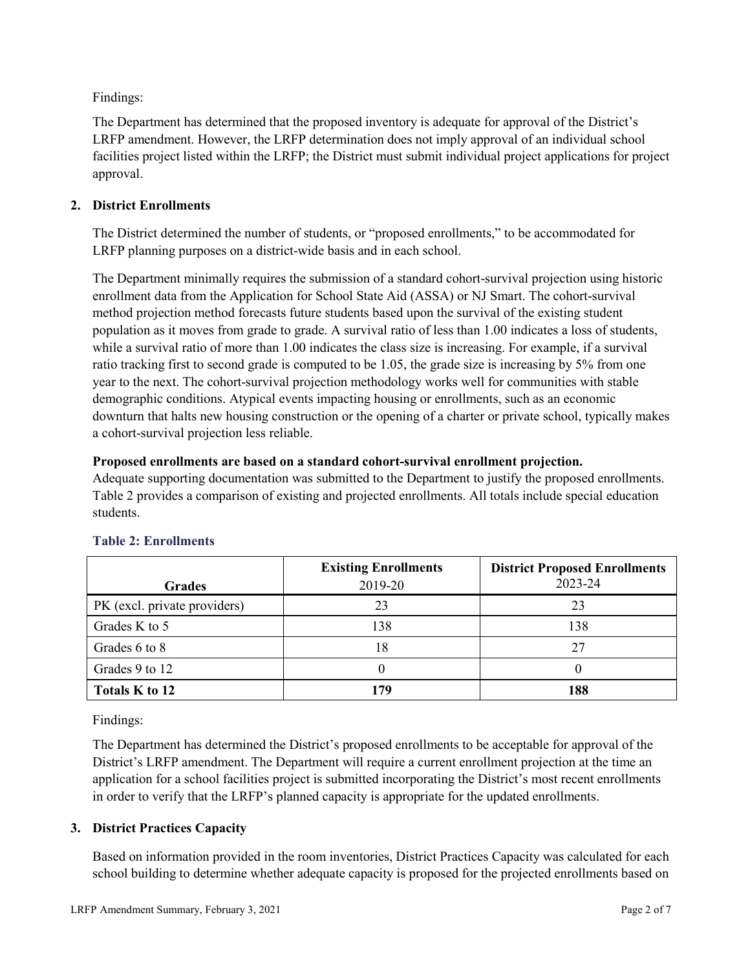Findings:

The Department has determined that the proposed inventory is adequate for approval of the District's LRFP amendment. However, the LRFP determination does not imply approval of an individual school facilities project listed within the LRFP; the District must submit individual project applications for project approval.

## **2. District Enrollments**

The District determined the number of students, or "proposed enrollments," to be accommodated for LRFP planning purposes on a district-wide basis and in each school.

The Department minimally requires the submission of a standard cohort-survival projection using historic enrollment data from the Application for School State Aid (ASSA) or NJ Smart. The cohort-survival method projection method forecasts future students based upon the survival of the existing student population as it moves from grade to grade. A survival ratio of less than 1.00 indicates a loss of students, while a survival ratio of more than 1.00 indicates the class size is increasing. For example, if a survival ratio tracking first to second grade is computed to be 1.05, the grade size is increasing by 5% from one year to the next. The cohort-survival projection methodology works well for communities with stable demographic conditions. Atypical events impacting housing or enrollments, such as an economic downturn that halts new housing construction or the opening of a charter or private school, typically makes a cohort-survival projection less reliable.

### **Proposed enrollments are based on a standard cohort-survival enrollment projection.**

Adequate supporting documentation was submitted to the Department to justify the proposed enrollments. Table 2 provides a comparison of existing and projected enrollments. All totals include special education students.

|                              | <b>Existing Enrollments</b> | <b>District Proposed Enrollments</b> |
|------------------------------|-----------------------------|--------------------------------------|
| <b>Grades</b>                | 2019-20                     | 2023-24                              |
| PK (excl. private providers) | 23                          | 23                                   |
| Grades K to 5                | 138                         | 138                                  |
| Grades 6 to 8                | 18                          | 27                                   |
| Grades 9 to 12               |                             |                                      |
| Totals K to 12               | 179                         | 188                                  |

# **Table 2: Enrollments**

Findings:

The Department has determined the District's proposed enrollments to be acceptable for approval of the District's LRFP amendment. The Department will require a current enrollment projection at the time an application for a school facilities project is submitted incorporating the District's most recent enrollments in order to verify that the LRFP's planned capacity is appropriate for the updated enrollments.

### **3. District Practices Capacity**

Based on information provided in the room inventories, District Practices Capacity was calculated for each school building to determine whether adequate capacity is proposed for the projected enrollments based on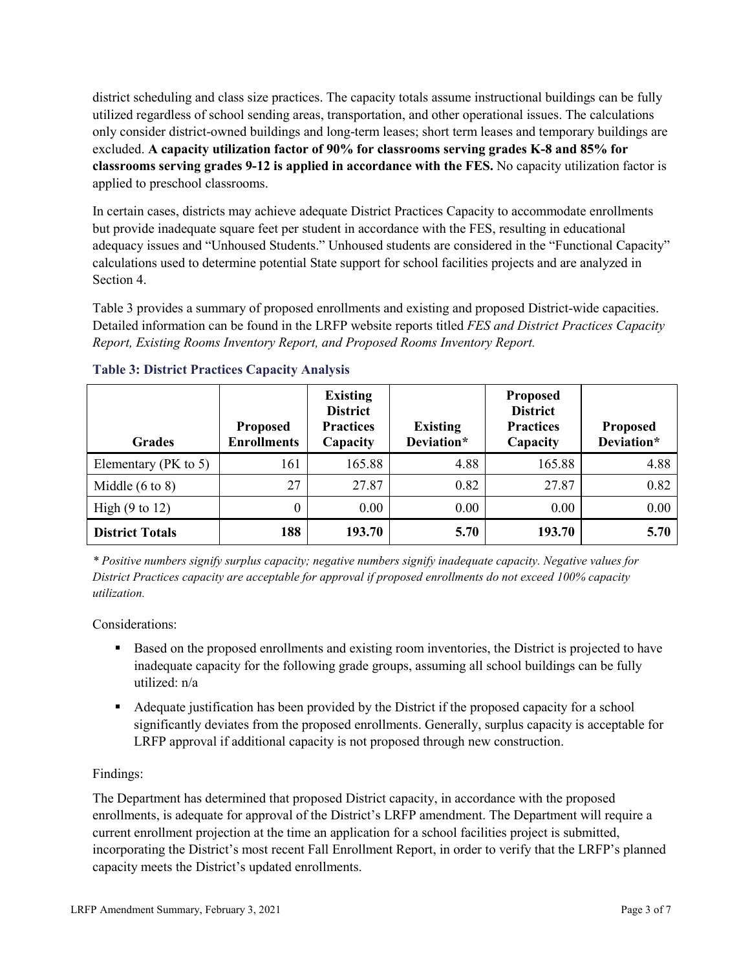district scheduling and class size practices. The capacity totals assume instructional buildings can be fully utilized regardless of school sending areas, transportation, and other operational issues. The calculations only consider district-owned buildings and long-term leases; short term leases and temporary buildings are excluded. **A capacity utilization factor of 90% for classrooms serving grades K-8 and 85% for classrooms serving grades 9-12 is applied in accordance with the FES.** No capacity utilization factor is applied to preschool classrooms.

In certain cases, districts may achieve adequate District Practices Capacity to accommodate enrollments but provide inadequate square feet per student in accordance with the FES, resulting in educational adequacy issues and "Unhoused Students." Unhoused students are considered in the "Functional Capacity" calculations used to determine potential State support for school facilities projects and are analyzed in Section 4.

Table 3 provides a summary of proposed enrollments and existing and proposed District-wide capacities. Detailed information can be found in the LRFP website reports titled *FES and District Practices Capacity Report, Existing Rooms Inventory Report, and Proposed Rooms Inventory Report.*

| <b>Grades</b>              | <b>Proposed</b><br><b>Enrollments</b> | <b>Existing</b><br><b>District</b><br><b>Practices</b><br>Capacity | <b>Existing</b><br>Deviation* | <b>Proposed</b><br><b>District</b><br><b>Practices</b><br>Capacity | <b>Proposed</b><br>Deviation* |
|----------------------------|---------------------------------------|--------------------------------------------------------------------|-------------------------------|--------------------------------------------------------------------|-------------------------------|
| Elementary ( $PK$ to 5)    | 161                                   | 165.88                                                             | 4.88                          | 165.88                                                             | 4.88                          |
| Middle $(6 \text{ to } 8)$ | 27                                    | 27.87                                                              | 0.82                          | 27.87                                                              | 0.82                          |
| High $(9 \text{ to } 12)$  | 0                                     | 0.00                                                               | 0.00                          | 0.00                                                               | 0.00                          |
| <b>District Totals</b>     | 188                                   | 193.70                                                             | 5.70                          | 193.70                                                             | 5.70                          |

### **Table 3: District Practices Capacity Analysis**

*\* Positive numbers signify surplus capacity; negative numbers signify inadequate capacity. Negative values for District Practices capacity are acceptable for approval if proposed enrollments do not exceed 100% capacity utilization.*

Considerations:

- Based on the proposed enrollments and existing room inventories, the District is projected to have inadequate capacity for the following grade groups, assuming all school buildings can be fully utilized: n/a
- Adequate justification has been provided by the District if the proposed capacity for a school significantly deviates from the proposed enrollments. Generally, surplus capacity is acceptable for LRFP approval if additional capacity is not proposed through new construction.

### Findings:

The Department has determined that proposed District capacity, in accordance with the proposed enrollments, is adequate for approval of the District's LRFP amendment. The Department will require a current enrollment projection at the time an application for a school facilities project is submitted, incorporating the District's most recent Fall Enrollment Report, in order to verify that the LRFP's planned capacity meets the District's updated enrollments.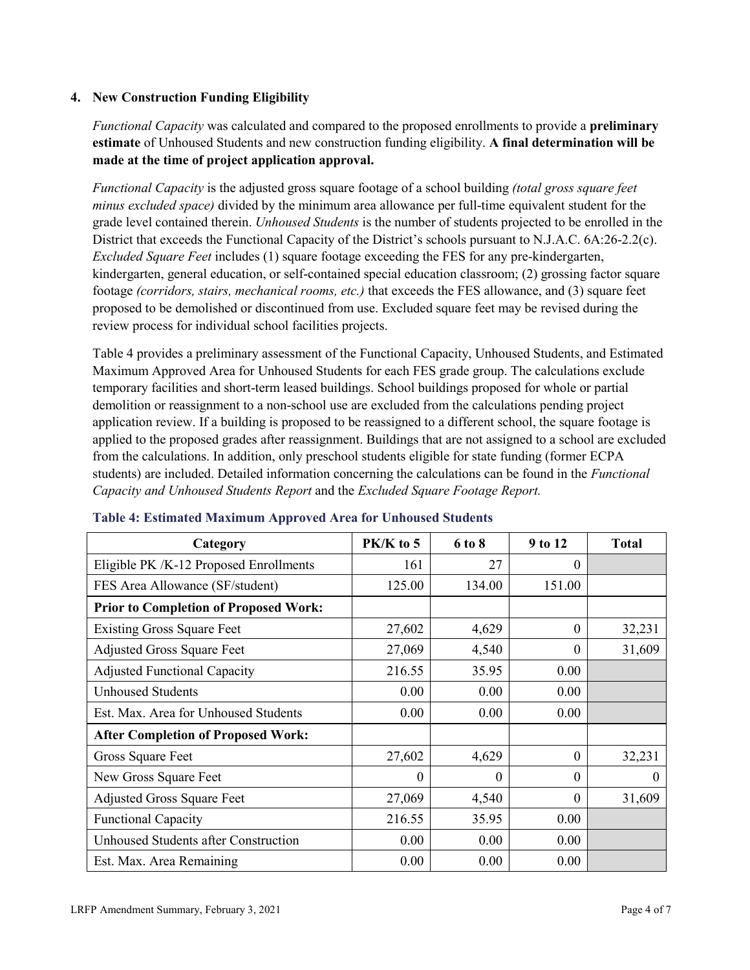### **4. New Construction Funding Eligibility**

*Functional Capacity* was calculated and compared to the proposed enrollments to provide a **preliminary estimate** of Unhoused Students and new construction funding eligibility. **A final determination will be made at the time of project application approval.**

*Functional Capacity* is the adjusted gross square footage of a school building *(total gross square feet minus excluded space)* divided by the minimum area allowance per full-time equivalent student for the grade level contained therein. *Unhoused Students* is the number of students projected to be enrolled in the District that exceeds the Functional Capacity of the District's schools pursuant to N.J.A.C. 6A:26-2.2(c). *Excluded Square Feet* includes (1) square footage exceeding the FES for any pre-kindergarten, kindergarten, general education, or self-contained special education classroom; (2) grossing factor square footage *(corridors, stairs, mechanical rooms, etc.)* that exceeds the FES allowance, and (3) square feet proposed to be demolished or discontinued from use. Excluded square feet may be revised during the review process for individual school facilities projects.

Table 4 provides a preliminary assessment of the Functional Capacity, Unhoused Students, and Estimated Maximum Approved Area for Unhoused Students for each FES grade group. The calculations exclude temporary facilities and short-term leased buildings. School buildings proposed for whole or partial demolition or reassignment to a non-school use are excluded from the calculations pending project application review. If a building is proposed to be reassigned to a different school, the square footage is applied to the proposed grades after reassignment. Buildings that are not assigned to a school are excluded from the calculations. In addition, only preschool students eligible for state funding (former ECPA students) are included. Detailed information concerning the calculations can be found in the *Functional Capacity and Unhoused Students Report* and the *Excluded Square Footage Report.*

| Category                                     | PK/K to 5 | 6 to 8   | 9 to 12  | <b>Total</b> |
|----------------------------------------------|-----------|----------|----------|--------------|
| Eligible PK /K-12 Proposed Enrollments       | 161       | 27       | 0        |              |
| FES Area Allowance (SF/student)              | 125.00    | 134.00   | 151.00   |              |
| <b>Prior to Completion of Proposed Work:</b> |           |          |          |              |
| <b>Existing Gross Square Feet</b>            | 27,602    | 4,629    | $\theta$ | 32,231       |
| <b>Adjusted Gross Square Feet</b>            | 27,069    | 4,540    | $\theta$ | 31,609       |
| <b>Adjusted Functional Capacity</b>          | 216.55    | 35.95    | 0.00     |              |
| <b>Unhoused Students</b>                     | 0.00      | 0.00     | 0.00     |              |
| Est. Max. Area for Unhoused Students         | 0.00      | 0.00     | 0.00     |              |
| <b>After Completion of Proposed Work:</b>    |           |          |          |              |
| Gross Square Feet                            | 27,602    | 4,629    | $\Omega$ | 32,231       |
| New Gross Square Feet                        | $\Omega$  | $\Omega$ | $\Omega$ | $\theta$     |
| <b>Adjusted Gross Square Feet</b>            | 27,069    | 4,540    | $\Omega$ | 31,609       |
| <b>Functional Capacity</b>                   | 216.55    | 35.95    | 0.00     |              |
| <b>Unhoused Students after Construction</b>  | 0.00      | 0.00     | 0.00     |              |
| Est. Max. Area Remaining                     | 0.00      | 0.00     | 0.00     |              |

#### **Table 4: Estimated Maximum Approved Area for Unhoused Students**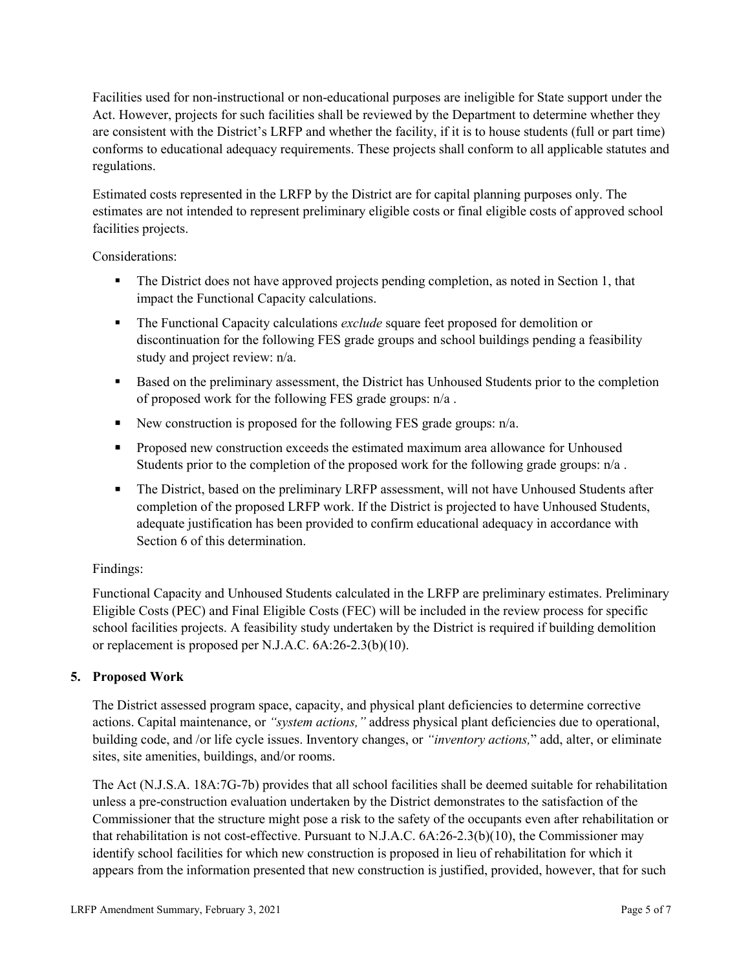Facilities used for non-instructional or non-educational purposes are ineligible for State support under the Act. However, projects for such facilities shall be reviewed by the Department to determine whether they are consistent with the District's LRFP and whether the facility, if it is to house students (full or part time) conforms to educational adequacy requirements. These projects shall conform to all applicable statutes and regulations.

Estimated costs represented in the LRFP by the District are for capital planning purposes only. The estimates are not intended to represent preliminary eligible costs or final eligible costs of approved school facilities projects.

Considerations:

- The District does not have approved projects pending completion, as noted in Section 1, that impact the Functional Capacity calculations.
- **The Functional Capacity calculations** *exclude* square feet proposed for demolition or discontinuation for the following FES grade groups and school buildings pending a feasibility study and project review: n/a.
- Based on the preliminary assessment, the District has Unhoused Students prior to the completion of proposed work for the following FES grade groups: n/a .
- New construction is proposed for the following FES grade groups: n/a.
- Proposed new construction exceeds the estimated maximum area allowance for Unhoused Students prior to the completion of the proposed work for the following grade groups: n/a.
- The District, based on the preliminary LRFP assessment, will not have Unhoused Students after completion of the proposed LRFP work. If the District is projected to have Unhoused Students, adequate justification has been provided to confirm educational adequacy in accordance with Section 6 of this determination.

### Findings:

Functional Capacity and Unhoused Students calculated in the LRFP are preliminary estimates. Preliminary Eligible Costs (PEC) and Final Eligible Costs (FEC) will be included in the review process for specific school facilities projects. A feasibility study undertaken by the District is required if building demolition or replacement is proposed per N.J.A.C. 6A:26-2.3(b)(10).

### **5. Proposed Work**

The District assessed program space, capacity, and physical plant deficiencies to determine corrective actions. Capital maintenance, or *"system actions,"* address physical plant deficiencies due to operational, building code, and /or life cycle issues. Inventory changes, or *"inventory actions,*" add, alter, or eliminate sites, site amenities, buildings, and/or rooms.

The Act (N.J.S.A. 18A:7G-7b) provides that all school facilities shall be deemed suitable for rehabilitation unless a pre-construction evaluation undertaken by the District demonstrates to the satisfaction of the Commissioner that the structure might pose a risk to the safety of the occupants even after rehabilitation or that rehabilitation is not cost-effective. Pursuant to N.J.A.C. 6A:26-2.3(b)(10), the Commissioner may identify school facilities for which new construction is proposed in lieu of rehabilitation for which it appears from the information presented that new construction is justified, provided, however, that for such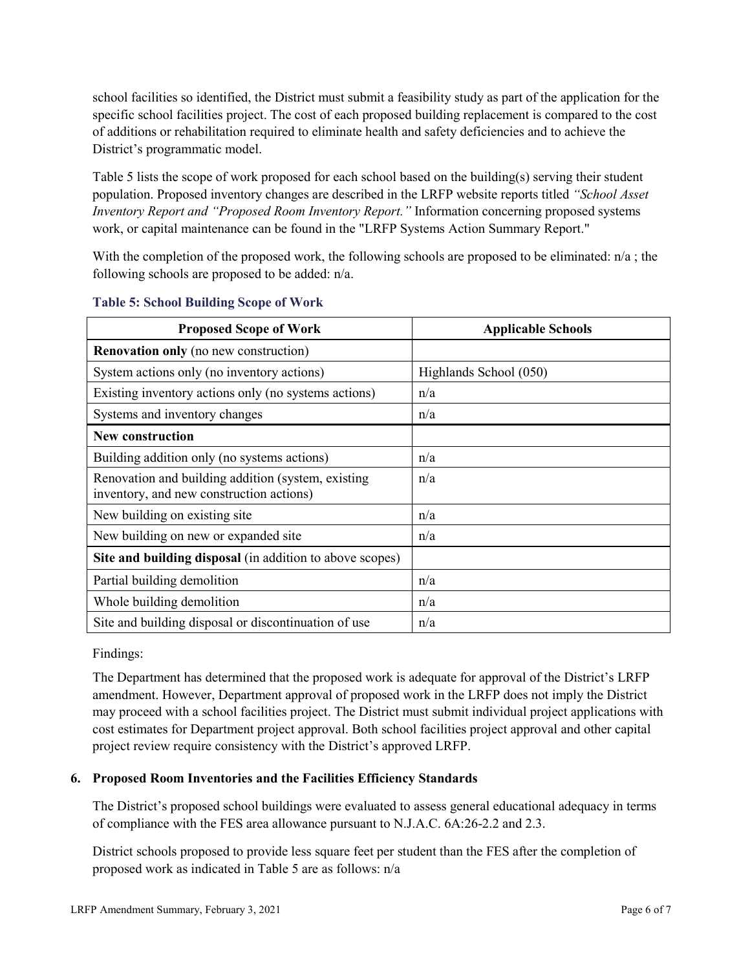school facilities so identified, the District must submit a feasibility study as part of the application for the specific school facilities project. The cost of each proposed building replacement is compared to the cost of additions or rehabilitation required to eliminate health and safety deficiencies and to achieve the District's programmatic model.

Table 5 lists the scope of work proposed for each school based on the building(s) serving their student population. Proposed inventory changes are described in the LRFP website reports titled *"School Asset Inventory Report and "Proposed Room Inventory Report."* Information concerning proposed systems work, or capital maintenance can be found in the "LRFP Systems Action Summary Report."

With the completion of the proposed work, the following schools are proposed to be eliminated:  $n/a$ ; the following schools are proposed to be added: n/a.

| <b>Proposed Scope of Work</b>                                                                  | <b>Applicable Schools</b> |
|------------------------------------------------------------------------------------------------|---------------------------|
| <b>Renovation only</b> (no new construction)                                                   |                           |
| System actions only (no inventory actions)                                                     | Highlands School (050)    |
| Existing inventory actions only (no systems actions)                                           | n/a                       |
| Systems and inventory changes                                                                  | n/a                       |
| <b>New construction</b>                                                                        |                           |
| Building addition only (no systems actions)                                                    | n/a                       |
| Renovation and building addition (system, existing<br>inventory, and new construction actions) | n/a                       |
| New building on existing site                                                                  | n/a                       |
| New building on new or expanded site                                                           | n/a                       |
| Site and building disposal (in addition to above scopes)                                       |                           |
| Partial building demolition                                                                    | n/a                       |
| Whole building demolition                                                                      | n/a                       |
| Site and building disposal or discontinuation of use                                           | n/a                       |

#### **Table 5: School Building Scope of Work**

Findings:

The Department has determined that the proposed work is adequate for approval of the District's LRFP amendment. However, Department approval of proposed work in the LRFP does not imply the District may proceed with a school facilities project. The District must submit individual project applications with cost estimates for Department project approval. Both school facilities project approval and other capital project review require consistency with the District's approved LRFP.

### **6. Proposed Room Inventories and the Facilities Efficiency Standards**

The District's proposed school buildings were evaluated to assess general educational adequacy in terms of compliance with the FES area allowance pursuant to N.J.A.C. 6A:26-2.2 and 2.3.

District schools proposed to provide less square feet per student than the FES after the completion of proposed work as indicated in Table 5 are as follows: n/a